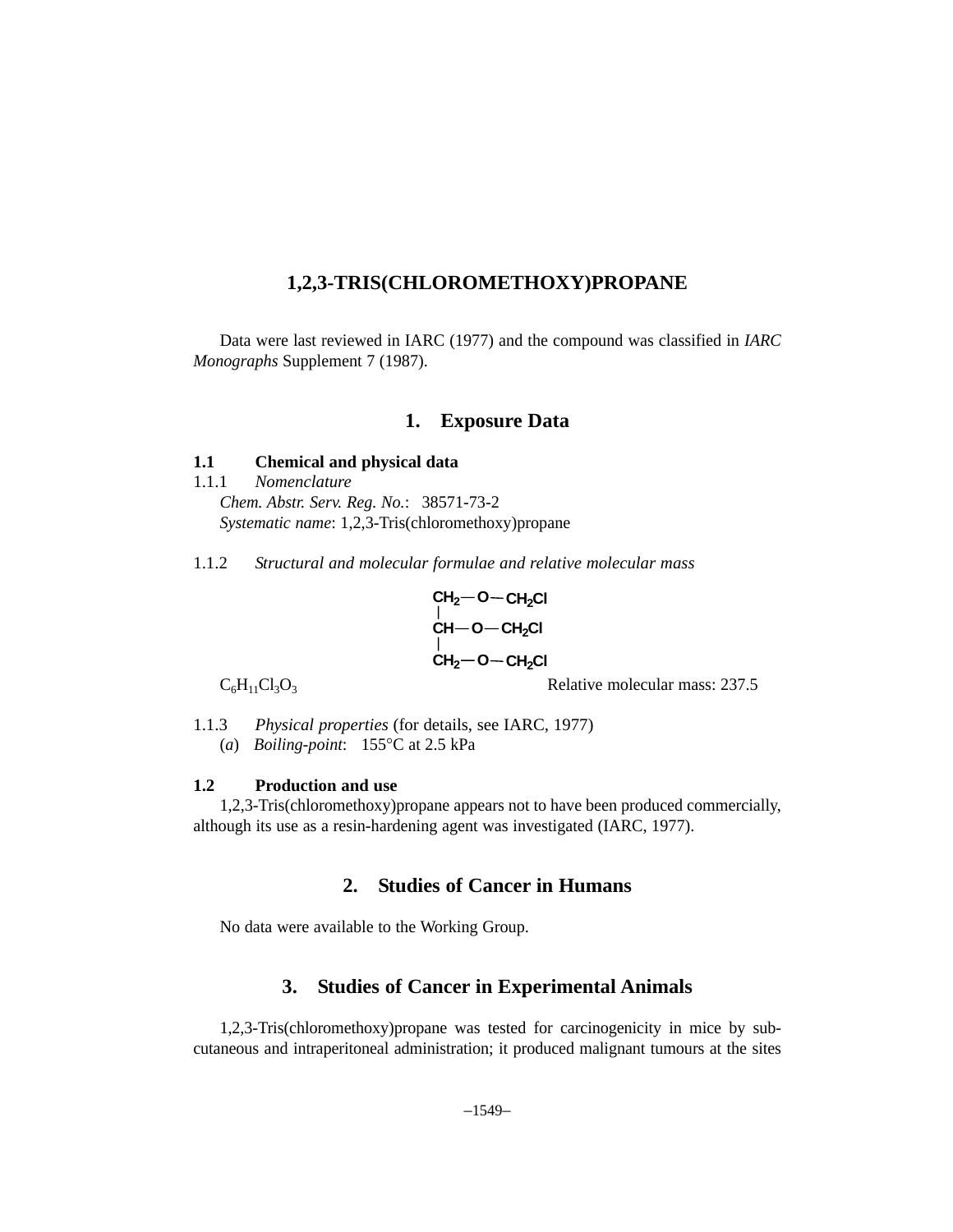## **1,2,3-TRIS(CHLOROMETHOXY)PROPANE**

Data were last reviewed in IARC (1977) and the compound was classified in *IARC Monographs* Supplement 7 (1987).

### **1. Exposure Data**

### **1.1 Chemical and physical data**

1.1.1 *Nomenclature Chem. Abstr. Serv. Reg. No.*: 38571-73-2 *Systematic name*: 1,2,3-Tris(chloromethoxy)propane

1.1.2 *Structural and molecular formulae and relative molecular mass*

$$
\begin{array}{l} \text{CH}_2\text{--O--CH}_2\text{Cl}\\ \text{CH--O--CH}_2\text{Cl}\\ \text{CH}_2\text{--O--CH}_2\text{Cl}\\ \end{array}
$$

 $C_6H_{11}Cl_3O_3$  Relative molecular mass: 237.5

1.1.3 *Physical properties* (for details, see IARC, 1977) (*a*) *Boiling-point*: 155°C at 2.5 kPa

#### **1.2 Production and use**

1,2,3-Tris(chloromethoxy)propane appears not to have been produced commercially, although its use as a resin-hardening agent was investigated (IARC, 1977).

## **2. Studies of Cancer in Humans**

No data were available to the Working Group.

## **3. Studies of Cancer in Experimental Animals**

1,2,3-Tris(chloromethoxy)propane was tested for carcinogenicity in mice by subcutaneous and intraperitoneal administration; it produced malignant tumours at the sites